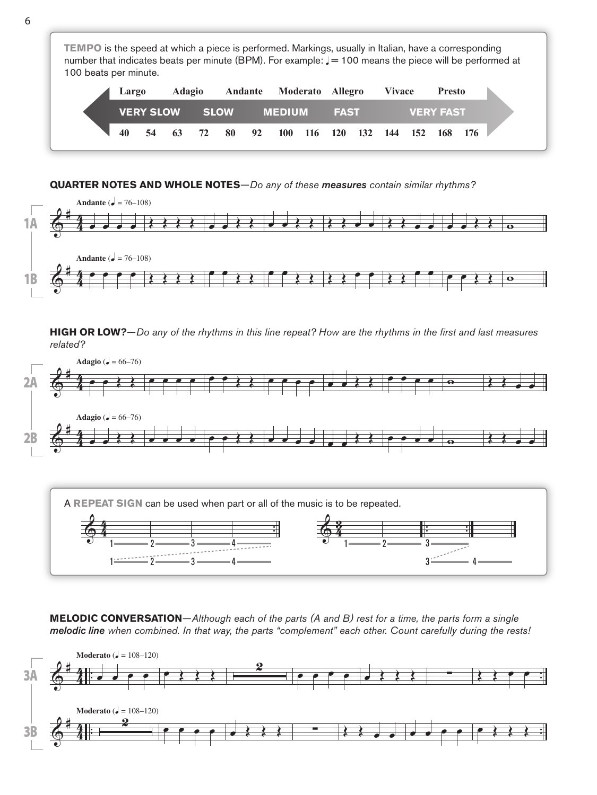**TEMPO** is the speed at which a piece is performed. Markings, usually in Italian, have a corresponding number that indicates beats per minute (BPM). For example:  $J = 100$  means the piece will be performed at 100 beats per minute.

|    | Largo |  | Adagio Andante Moderato Allegro |  |                                                            |  |  |      | <b>Vivace</b> |                  | Presto |  |  |
|----|-------|--|---------------------------------|--|------------------------------------------------------------|--|--|------|---------------|------------------|--------|--|--|
|    |       |  |                                 |  | <b>VERY SLOW SLOW MEDIUM</b>                               |  |  | FAST |               | <b>VERY FAST</b> |        |  |  |
| 40 |       |  |                                 |  | 54  63  72  80  92  100  116  120  132  144  152  168  176 |  |  |      |               |                  |        |  |  |

## **QUARTER NOTES AND WHOLE NOTES**—*Do any of these measures contain similar rhythms?*



**HIGH OR LOW?**—*Do any of the rhythms in this line repeat? How are the rhythms in the first and last measures related?*



**MELODIC CONVERSATION**—*Although each of the parts (A and B) rest for a time, the parts form a single melodic line when combined. In that way, the parts "complement" each other. Count carefully during the rests!*

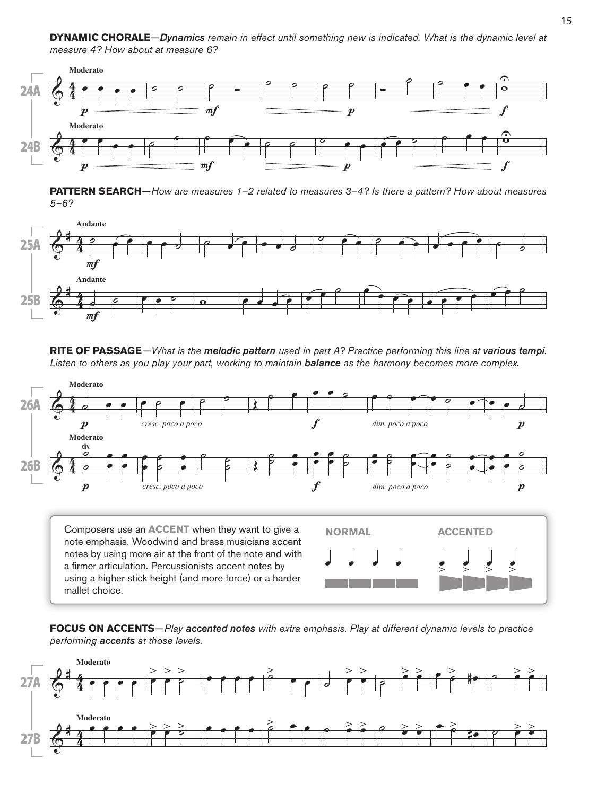

**PATTERN SEARCH**—*How are measures 1–2 related to measures 3–4? Is there a pattern? How about measures 5–6?*



**RITE OF PASSAGE**—*What is the melodic pattern used in part A? Practice performing this line at various tempi. Listen to others as you play your part, working to maintain balance as the harmony becomes more complex.*



note emphasis. Woodwind and brass musicians accent notes by using more air at the front of the note and with a firmer articulation. Percussionists accent notes by using a higher stick height (and more force) or a harder mallet choice.



**FOCUS ON ACCENTS**—*Play accented notes with extra emphasis. Play at different dynamic levels to practice performing accents at those levels.*

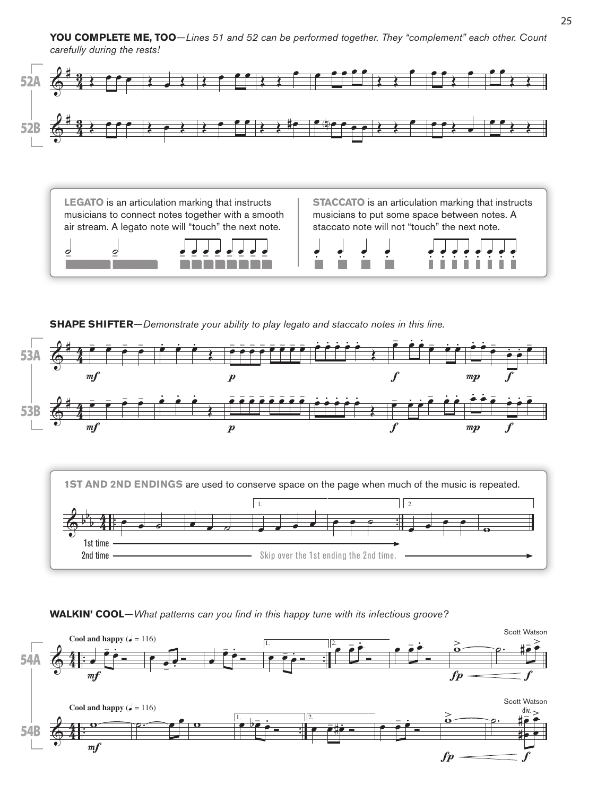**YOU COMPLETE ME, TOO**—*Lines 51 and 52 can be performed together. They "complement" each other. Count carefully during the rests!*



**LEGATO** is an articulation marking that instructs musicians to connect notes together with a smooth air stream. A legato note will "touch" the next note.

**STACCATO** is an articulation marking that instructs musicians to put some space between notes. A staccato note will not "touch" the next note.



.<br>.<br>. .<br>.<br>. .<br>.<br>. 2 | 2 2 2 2 - 2 .<br>. . .<br>. . .<br>. . .<br>. . .<br>. . .<br>. . .<br>.<br>. .

**SHAPE SHIFTER**—*Demonstrate your ability to play legato and staccato notes in this line.*



**WALKIN' COOL**—*What patterns can you find in this happy tune with its infectious groove?*

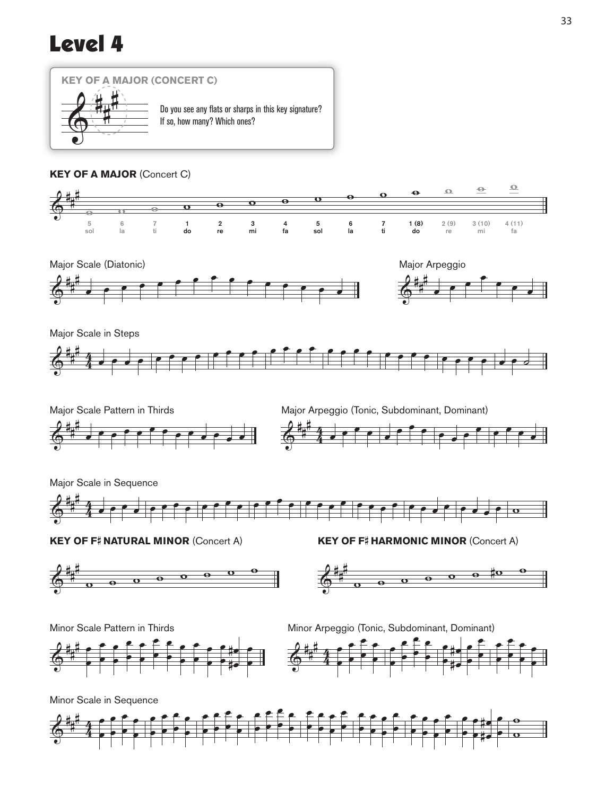## Level 4



## **KEY OF A MAJOR** (Concert C)





Major Scale in Steps





Major Scale in Sequence